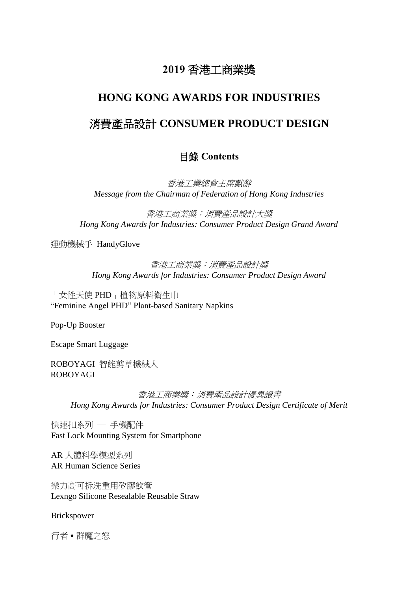## **2019** 香港工商業獎

# **HONG KONG AWARDS FOR INDUSTRIES**

## 消費產品設計 **CONSUMER PRODUCT DESIGN**

#### 目錄 **Contents**

香港工業總會主席獻辭 *Message from the Chairman of Federation of Hong Kong Industries*

香港工商業獎:消費產品設計大獎 *Hong Kong Awards for Industries: Consumer Product Design Grand Award*

運動機械手 HandyGlove

#### 香港工商業獎:消費產品設計獎 *Hong Kong Awards for Industries: Consumer Product Design Award*

「女性天使 PHD」植物原料衛生巾 "Feminine Angel PHD" Plant-based Sanitary Napkins

Pop-Up Booster

Escape Smart Luggage

ROBOYAGI 智能剪草機械人 ROBOYAGI

> 香港工商業獎:消費產品設計優異證書 *Hong Kong Awards for Industries: Consumer Product Design Certificate of Merit*

快速扣系列 ─ 手機配件 Fast Lock Mounting System for Smartphone

AR 人體科學模型系列 AR Human Science Series

樂力高可拆洗重用矽膠飲管 Lexngo Silicone Resealable Reusable Straw

Brickspower

行者 • 群魔之怒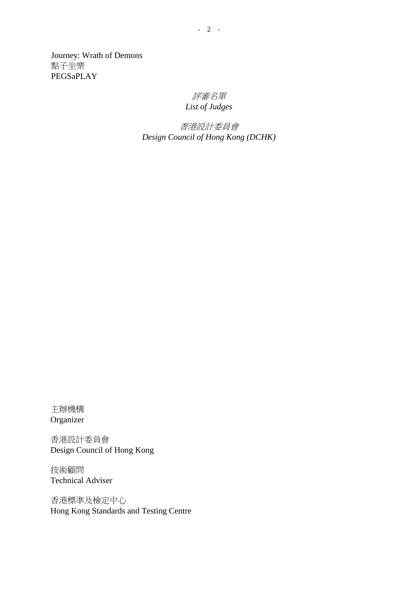Journey: Wrath of Demons 點子坐樂 PEGSaPLAY

#### 評審名單 *List of Judges*

香港設計委員會 *Design Council of Hong Kong (DCHK)*

主辦機構 Organizer

香港設計委員會 Design Council of Hong Kong

技術顧問 Technical Adviser

香港標準及檢定中心 Hong Kong Standards and Testing Centre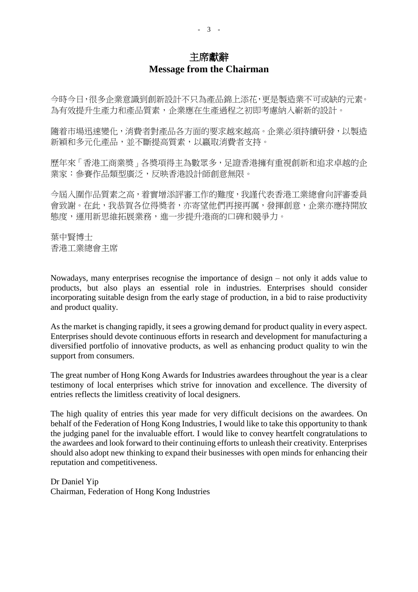### 主席獻辭 **Message from the Chairman**

今時今日,很多企業意識到創新設計不只為產品錦上添花,更是製造業不可或缺的元素。 為有效提升生產力和產品質素,企業應在生產過程之初即考慮納入嶄新的設計。

隨着市場迅速變化,消費者對產品各方面的要求越來越高。企業必須持續研發,以製造 新穎和多元化產品,並不斷提高質素,以嬴取消費者支持。

歷年來「香港工商業奬」各奬項得主為數眾多,足證香港擁有重視創新和追求卓越的企 業家:參賽作品類型廣泛,反映香港設計師創意無限。

今屆入圍作品質素之高,着實增添評審工作的難度,我謹代表香港工業總會向評審委員 會致謝。在此,我恭賀各位得獎者,亦寄望他們再接再厲,發揮創意,企業亦應持開放 態度,運用新思維拓展業務,進一步提升港商的口碑和競爭力。

葉中賢博士 香港工業總會主席

Nowadays, many enterprises recognise the importance of design – not only it adds value to products, but also plays an essential role in industries. Enterprises should consider incorporating suitable design from the early stage of production, in a bid to raise productivity and product quality.

As the market is changing rapidly, it sees a growing demand for product quality in every aspect. Enterprises should devote continuous efforts in research and development for manufacturing a diversified portfolio of innovative products, as well as enhancing product quality to win the support from consumers.

The great number of Hong Kong Awards for Industries awardees throughout the year is a clear testimony of local enterprises which strive for innovation and excellence. The diversity of entries reflects the limitless creativity of local designers.

The high quality of entries this year made for very difficult decisions on the awardees. On behalf of the Federation of Hong Kong Industries, I would like to take this opportunity to thank the judging panel for the invaluable effort. I would like to convey heartfelt congratulations to the awardees and look forward to their continuing efforts to unleash their creativity. Enterprises should also adopt new thinking to expand their businesses with open minds for enhancing their reputation and competitiveness.

Dr Daniel Yip Chairman, Federation of Hong Kong Industries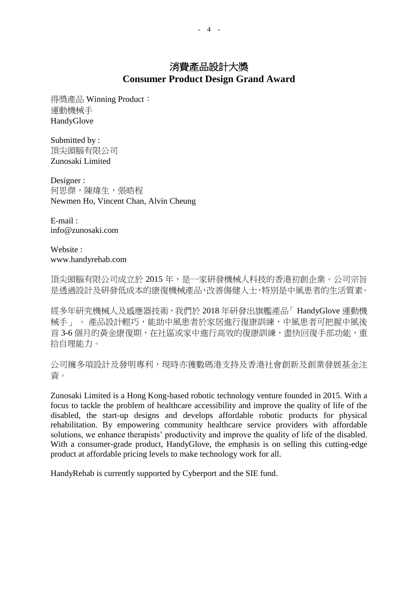得獎產品 Winning Product: 運動機械手 HandyGlove

Submitted by : 頂尖頭腦有限公司 Zunosaki Limited

Designer : 何思傑,陳煒生,張晧程 Newmen Ho, Vincent Chan, Alvin Cheung

E-mail : info@zunosaki.com

Website : www.handyrehab.com

頂尖頭腦有限公司成立於 2015 年,是一家研發機械人科技的香港初創企業。公司宗旨 是透過設計及研發低成本的康復機械產品,改善傷健人士,特別是中風患者的生活質素。

經多年研究機械人及感應器技術,我們於 2018 年研發出旗艦產品「 HandyGlove 運動機 械手」 。 產品設計輕巧,能助中風患者於家居進行復康訓練,中風患者可把握中風後 首 3-6 個月的黃金康復期,在社區或家中進行高效的復康訓練,盡快回復手部功能,重 拾自理能力。

公司擁多項設計及發明專利,現時亦獲數碼港支持及香港社會創新及創業發展基金注 資。

Zunosaki Limited is a Hong Kong-based robotic technology venture founded in 2015. With a focus to tackle the problem of healthcare accessibility and improve the quality of life of the disabled, the start-up designs and develops affordable robotic products for physical rehabilitation. By empowering community healthcare service providers with affordable solutions, we enhance therapists' productivity and improve the quality of life of the disabled. With a consumer-grade product, HandyGlove, the emphasis is on selling this cutting-edge product at affordable pricing levels to make technology work for all.

HandyRehab is currently supported by Cyberport and the SIE fund.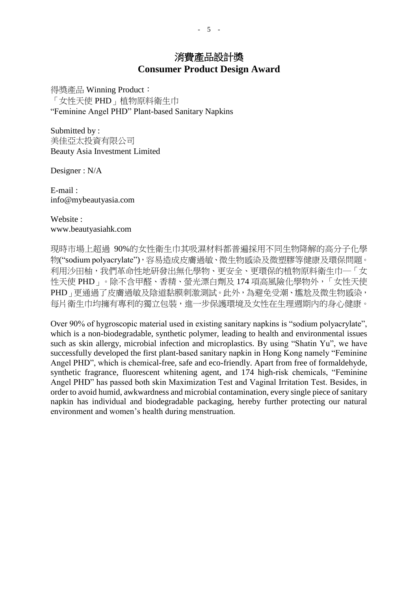得獎產品 Winning Product: 「女性天使 PHD」植物原料衛生巾 "Feminine Angel PHD" Plant-based Sanitary Napkins

Submitted by : 美佳亞太投資有限公司 Beauty Asia Investment Limited

Designer : N/A

E-mail : [info@mybeautyasia.com](mailto:info@mybeautyasia.com)

Website : [www.beautyasiahk.com](http://www.beautyasiahk.com/)

現時市場上超過 90%的女性衛生巾其吸濕材料都普遍採用不同生物降解的高分子化學 物("sodium polyacrylate"),容易造成皮膚過敏、微生物感染及微塑膠等健康及環保問題。 利用沙田柚,我們革命性地研發出無化學物、更安全、更環保的植物原料衛生巾一「女 性天使 PHD」。除不含甲醛、香精、螢光漂白劑及 174 項高風險化學物外,「女性天使 PHD」更通過了皮膚過敏及陰道黏膜刺激測試。此外,為避免受潮、尷尬及微生物感染, 每片衛生巾均擁有專利的獨立包裝,進一步保護環境及女性在生理週期內的身心健康。

Over 90% of hygroscopic material used in existing sanitary napkins is "sodium polyacrylate", which is a non-biodegradable, synthetic polymer, leading to health and environmental issues such as skin allergy, microbial infection and microplastics. By using "Shatin Yu", we have successfully developed the first plant-based sanitary napkin in Hong Kong namely "Feminine Angel PHD", which is chemical-free, safe and eco-friendly. Apart from free of formaldehyde, synthetic fragrance, fluorescent whitening agent, and 174 high-risk chemicals, "Feminine Angel PHD" has passed both skin Maximization Test and Vaginal Irritation Test. Besides, in order to avoid humid, awkwardness and microbial contamination, every single piece of sanitary napkin has individual and biodegradable packaging, hereby further protecting our natural environment and women's health during menstruation.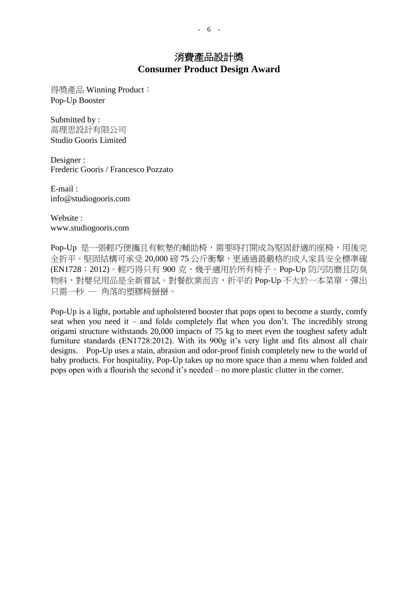得獎產品 Winning Product: Pop-Up Booster

Submitted by : 高理思設計有限公司 Studio Gooris Limited

Designer : Frederic Gooris / Francesco Pozzato

E-mail : info@studiogooris.com

Website : [www.studiogooris.com](http://www.studiogooris.com/)

Pop-Up 是一張輕巧便攜且有軟墊的輔助椅,需要時打開成為堅固舒適的座椅,用後完 全折平。堅固結構可承受 20,000 磅 75 公斤衝擊,更通過最嚴格的成人家具安全標準確 (EN1728:2012)。輕巧得只有 900 克,幾乎適用於所有椅子。Pop-Up 防污防磨且防臭 物料,對嬰兒用品是全新嘗試。對餐飲業而言,折平的 Pop-Up 不大於一本菜單,彈出 只需一秒 — 角落的塑膠椅掰掰。

Pop-Up is a light, portable and upholstered booster that pops open to become a sturdy, comfy seat when you need it – and folds completely flat when you don't. The incredibly strong origami structure withstands 20,000 impacts of 75 kg to meet even the toughest safety adult furniture standards (EN1728:2012). With its 900g it's very light and fits almost all chair designs. Pop-Up uses a stain, abrasion and odor-proof finish completely new to the world of baby products. For hospitality, Pop-Up takes up no more space than a menu when folded and pops open with a flourish the second it's needed – no more plastic clutter in the corner.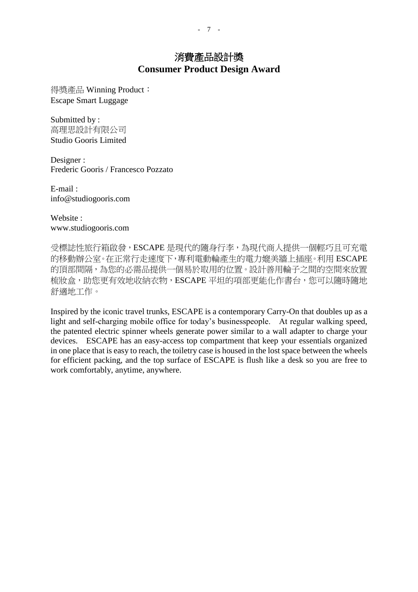得獎產品 Winning Product: Escape Smart Luggage

Submitted by : 高理思設計有限公司 Studio Gooris Limited

Designer : Frederic Gooris / Francesco Pozzato

E-mail : [info@studiogooris.com](mailto:info@studiogooris.com)

Website : [www.studiogooris.com](http://www.studiogooris.com/)

受標誌性旅行箱啟發,ESCAPE 是現代的隨身行李,為現代商人提供一個輕巧且可充電 的移動辦公室。在正常行走速度下,專利電動輪產生的電力媲美牆上插座。利用 ESCAPE 的頂部間隔,為您的必需品提供一個易於取用的位置。設計善用輪子之間的空間來放置 梳妝盒,助您更有效地收納衣物,ESCAPE 平坦的項部更能化作書台,您可以隨時隨地 舒適地工作。

Inspired by the iconic travel trunks, ESCAPE is a contemporary Carry-On that doubles up as a light and self-charging mobile office for today's businesspeople. At regular walking speed, the patented electric spinner wheels generate power similar to a wall adapter to charge your devices. ESCAPE has an easy-access top compartment that keep your essentials organized in one place that is easy to reach, the toiletry case is housed in the lost space between the wheels for efficient packing, and the top surface of ESCAPE is flush like a desk so you are free to work comfortably, anytime, anywhere.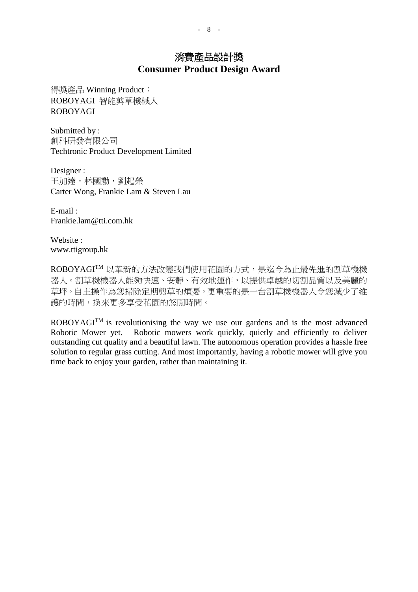得獎產品 Winning Product: ROBOYAGI 智能剪草機械人 ROBOYAGI

Submitted by : 創科研發有限公司 Techtronic Product Development Limited

Designer : 王加達,林國勳,劉起榮 Carter Wong, Frankie Lam & Steven Lau

E-mail : [Frankie.lam@tti.com.hk](mailto:Frankie.lam@tti.com.hk)

Website : [www.ttigroup.hk](http://www.ttigroup.hk/)

ROBOYAGITM 以革新的方法改變我們使用花園的方式,是迄今為止最先進的割草機機 器人。割草機機器人能夠快速、安靜、有效地運作,以提供卓越的切割品質以及美麗的 草坪。自主操作為您掃除定期剪草的煩憂。更重要的是一台割草機機器人令您減少了維 護的時間,換來更多享受花園的悠閒時間。

ROBOYAGITM is revolutionising the way we use our gardens and is the most advanced Robotic Mower yet. Robotic mowers work quickly, quietly and efficiently to deliver outstanding cut quality and a beautiful lawn. The autonomous operation provides a hassle free solution to regular grass cutting. And most importantly, having a robotic mower will give you time back to enjoy your garden, rather than maintaining it.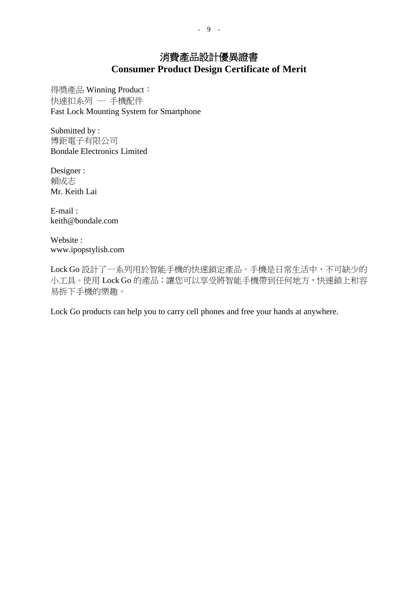得獎產品 Winning Product: 快速扣系列 — 手機配件 Fast Lock Mounting System for Smartphone

Submitted by : 博鉅電子有限公司 Bondale Electronics Limited

Designer : 賴成志 Mr. Keith Lai

E-mail : [keith@bondale.com](mailto:keith@bondale.com)

Website : [www.ipopstylish.com](http://www.ipopstylish.com/)

Lock Go 設計了一系列用於智能手機的快速鎖定產品。手機是日常生活中,不可缺少的 小工具。使用 Lock Go 的產品;讓您可以享受將智能手機帶到任何地方,快速鎖上和容 易拆下手機的樂趣。

Lock Go products can help you to carry cell phones and free your hands at anywhere.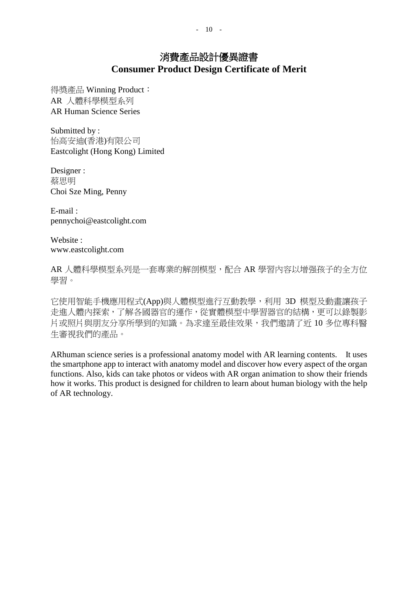得獎產品 Winning Product: AR 人體科學模型系列 AR Human Science Series

Submitted by : 怡高安迪(香港)有限公司 Eastcolight (Hong Kong) Limited

Designer : 蔡思明 Choi Sze Ming, Penny

E-mail : [pennychoi@eastcolight.com](mailto:pennychoi@eastcolight.com)

Website : [www.eastcolight.com](http://www.eastcolight.com/)

AR 人體科學模型系列是一套專業的解剖模型,配合 AR 學習內容以增强孩子的全方位 學習。

它使用智能手機應用程式(App)與人體模型進行互動教學,利用 3D 模型及動畫讓孩子 走進人體內探索,了解各國器官的運作,從實體模型中學習器官的結構,更可以錄製影 片或照片與朋友分享所學到的知識。為求達至最佳效果,我們邀請了近 10 多位專科醫 生審視我們的產品。

ARhuman science series is a professional anatomy model with AR learning contents. It uses the smartphone app to interact with anatomy model and discover how every aspect of the organ functions. Also, kids can take photos or videos with AR organ animation to show their friends how it works. This product is designed for children to learn about human biology with the help of AR technology.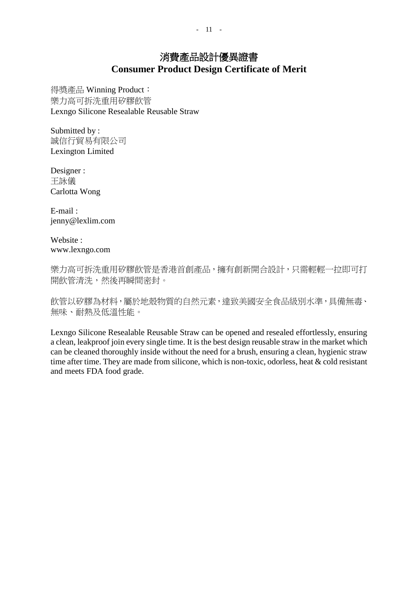得獎產品 Winning Product: 樂力高可拆洗重用矽膠飲管 Lexngo Silicone Resealable Reusable Straw

Submitted by : 誠信行貿易有限公司 Lexington Limited

Designer : 王詠儀 Carlotta Wong

E-mail : jenny@lexlim.com

Website : [www.lexngo.com](http://www.lexngo.com/)

樂力高可拆洗重用矽膠飲管是香港首創產品,擁有創新開合設計,只需輕輕一拉即可打 開飲管清洗,然後再瞬間密封。

飲管以矽膠為材料, 屬於地殼物質的自然元素, 達致美國安全食品級別水準, 具備無毒、 無味、耐熱及低溫性能。

Lexngo Silicone Resealable Reusable Straw can be opened and resealed effortlessly, ensuring a clean, leakproof join every single time. It is the best design reusable straw in the market which can be cleaned thoroughly inside without the need for a brush, ensuring a clean, hygienic straw time after time. They are made from silicone, which is non-toxic, odorless, heat & cold resistant and meets FDA food grade.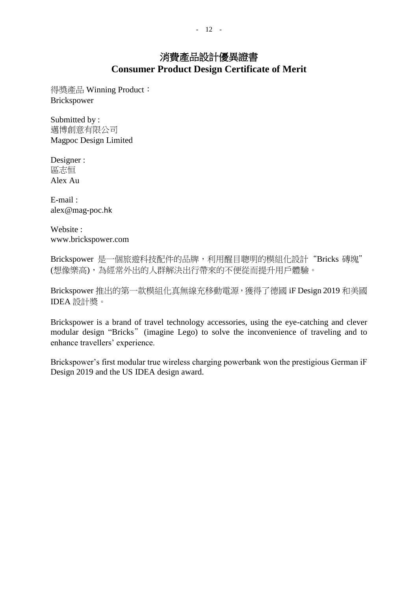得獎產品 Winning Product: Brickspower

Submitted by : 邁博創意有限公司 Magpoc Design Limited

Designer : 區志恒 Alex Au

E-mail : [alex@mag-poc](mailto:alex@mag-poc.hk).hk

Website : www.brickspower.com

Brickspower 是一個旅遊科技配件的品牌,利用醒目聰明的模組化設計"Bricks 磚塊" (想像樂高),為經常外出的人群解決出行帶來的不便從而提升用戶體驗。

Brickspower 推出的第一款模組化真無線充移動電源,獲得了德國 iF Design 2019 和美國 IDEA 設計奬。

Brickspower is a brand of travel technology accessories, using the eye-catching and clever modular design "Bricks" (imagine Lego) to solve the inconvenience of traveling and to enhance travellers' experience.

Brickspower's first modular true wireless charging powerbank won the prestigious German iF Design 2019 and the US IDEA design award.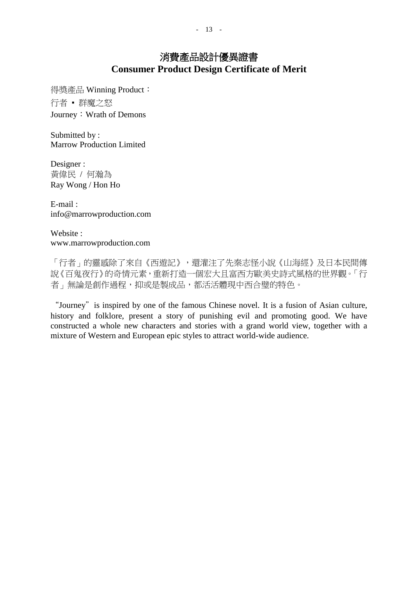得獎產品 Winning Product: 行者 ▪ 群魔之怒 Journey: Wrath of Demons

Submitted by : Marrow Production Limited

Designer : 黃偉民 / 何瀚為 Ray Wong / Hon Ho

E-mail : [info@marrowproduction.com](mailto:info@marrowproduction.com)

Website : [www.marrowproduction.com](http://www.marrowproduction.com/)

「行者」的靈感除了來自《西遊記》,還灌注了先秦志怪小說《山海經》及日本民間傳 說《百鬼夜行》的奇情元素,重新打造一個宏大且富西方歐美史詩式風格的世界觀。「行 者」無論是創作過程,抑或是製成品,都活活體現中西合璧的特色。

"Journey" is inspired by one of the famous Chinese novel. It is a fusion of Asian culture, history and folklore, present a story of punishing evil and promoting good. We have constructed a whole new characters and stories with a grand world view, together with a mixture of Western and European epic styles to attract world-wide audience.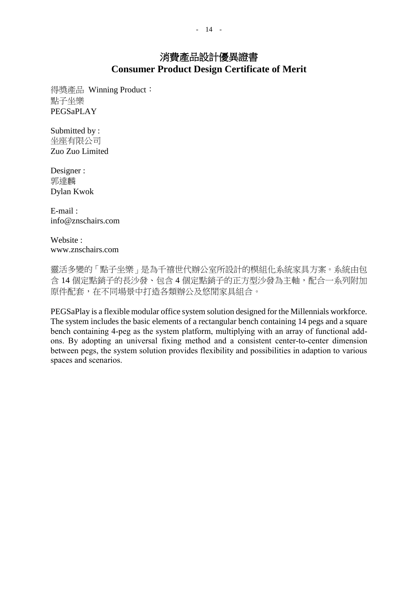得獎產品 Winning Product: 點子坐樂 PEGSaPLAY

Submitted by : 坐座有限公司 Zuo Zuo Limited

Designer : 郭達麟 Dylan Kwok

E-mail : info@znschairs.com

Website : [www.znschairs.c](http://www.znschairs./)om

靈活多變的「點子坐樂」是為千禧世代辦公室所設計的模組化系統家具方案。系統由包 含 14 個定點銷子的長沙發、包含 4 個定點銷子的正方型沙發為主軸,配合一系列附加 原件配套,在不同場景中打造各類辦公及悠閒家具組合。

PEGSaPlay is a flexible modular office system solution designed for the Millennials workforce. The system includes the basic elements of a rectangular bench containing 14 pegs and a square bench containing 4-peg as the system platform, multiplying with an array of functional addons. By adopting an universal fixing method and a consistent center-to-center dimension between pegs, the system solution provides flexibility and possibilities in adaption to various spaces and scenarios.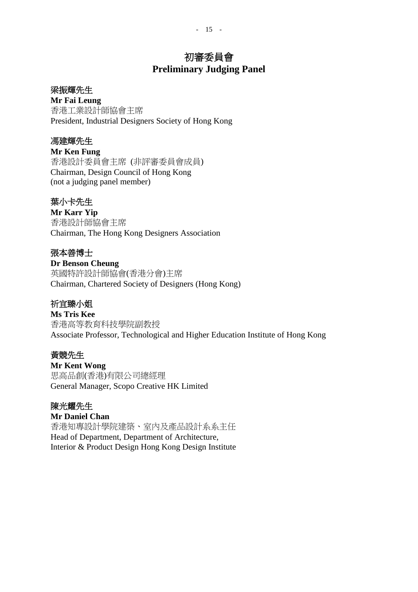## 初審委員會 **Preliminary Judging Panel**

#### 梁振輝先生

**Mr Fai Leung**

香港工業設計師協會主席 President, Industrial Designers Society of Hong Kong

#### 馮建輝先生

**Mr Ken Fung** 香港設計委員會主席 (非評審委員會成員) Chairman, Design Council of Hong Kong (not a judging panel member)

### 葉小卡先生

**Mr Karr Yip** 香港設計師協會主席 Chairman, The Hong Kong Designers Association

### 張本善博士

**Dr Benson Cheung** 英國特許設計師協會(香港分會)主席 Chairman, Chartered Society of Designers (Hong Kong)

### 祈宜臻小姐

**Ms Tris Kee** 香港高等教育科技學院副教授 Associate Professor, Technological and Higher Education Institute of Hong Kong

#### 黃競先生

**Mr Kent Wong** 思高品創(香港)有限公司總經理 General Manager, Scopo Creative HK Limited

#### 陳光耀先生

**Mr Daniel Chan** 香港知專設計學院建築、室內及產品設計系系主任 Head of Department, Department of Architecture, Interior & Product Design Hong Kong Design Institute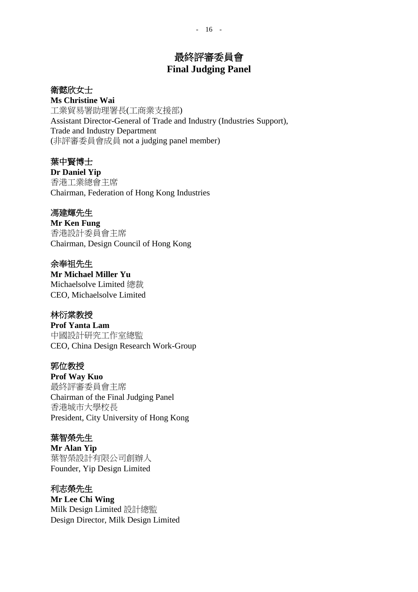## 最終評審委員會 **Final Judging Panel**

### 衛懿欣女士

**Ms Christine Wai** 工業貿易署助理署長(工商業支援部) Assistant Director-General of Trade and Industry (Industries Support), Trade and Industry Department (非評審委員會成員 not a judging panel member)

### 葉中賢博士

**Dr Daniel Yip** 香港工業總會主席 Chairman, Federation of Hong Kong Industries

### 馮建輝先生

**Mr Ken Fung** 香港設計委員會主席 Chairman, Design Council of Hong Kong

### 余奉祖先生

**Mr Michael Miller Yu** Michaelsolve Limited 總裁 CEO, Michaelsolve Limited

### 林衍棠教授

**Prof Yanta Lam** 中國設計研究工作室總監 CEO, China Design Research Work-Group

### 郭位教授

**Prof Way Kuo** 最終評審委員會主席 Chairman of the Final Judging Panel 香港城市大學校長 President, City University of Hong Kong

### 葉智榮先生

**Mr Alan Yip** 葉智榮設計有限公司創辦人 Founder, Yip Design Limited

#### 利志榮先生

**Mr Lee Chi Wing** Milk Design Limited 設計總監 Design Director, Milk Design Limited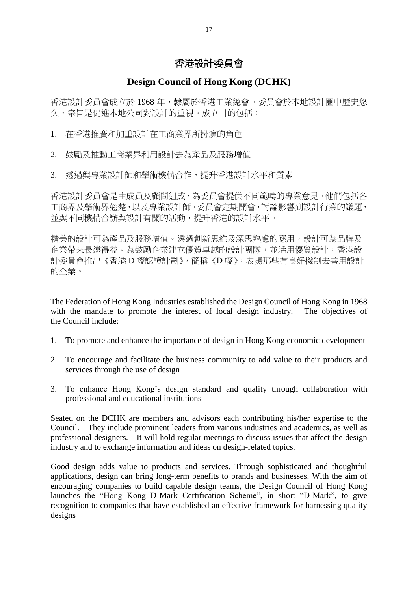## 香港設計委員會

### **Design Council of Hong Kong (DCHK)**

香港設計委員會成立於 1968 年,隸屬於香港工業總會。委員會於本地設計圈中歷史悠 久,宗旨是促進本地公司對設計的重視。成立目的包括:

1. 在香港推廣和加重設計在工商業界所扮演的角色

- 2. 鼓勵及推動工商業界利用設計去為產品及服務增值
- 3. 透過與專業設計師和學術機構合作,提升香港設計水平和質素

香港設計委員會是由成員及顧問組成,為委員會提供不同範疇的專業意見。他們包括各 工商界及學術界翹楚,以及專業設計師。委員會定期開會,討論影響到設計行業的議題, 並與不同機構合辦與設計有關的活動,提升香港的設計水平。

精美的設計可為產品及服務增值。透過創新思維及深思熟慮的應用,設計可為品牌及 企業帶來長遠得益。為鼓勵企業建立優質卓越的設計團隊,並活用優質設計,香港設 計委員會推出《香港 D 嘜認證計劃》,簡稱《D 嘜》,表揚那些有良好機制去善用設計 的企業。

The Federation of Hong Kong Industries established the Design Council of Hong Kong in 1968 with the mandate to promote the interest of local design industry. The objectives of the Council include:

- 1. To promote and enhance the importance of design in Hong Kong economic development
- 2. To encourage and facilitate the business community to add value to their products and services through the use of design
- 3. To enhance Hong Kong's design standard and quality through collaboration with professional and educational institutions

Seated on the DCHK are members and advisors each contributing his/her expertise to the Council. They include prominent leaders from various industries and academics, as well as professional designers. It will hold regular meetings to discuss issues that affect the design industry and to exchange information and ideas on design-related topics.

Good design adds value to products and services. Through sophisticated and thoughtful applications, design can bring long-term benefits to brands and businesses. With the aim of encouraging companies to build capable design teams, the Design Council of Hong Kong launches the "Hong Kong D-Mark Certification Scheme", in short "D-Mark", to give recognition to companies that have established an effective framework for harnessing quality designs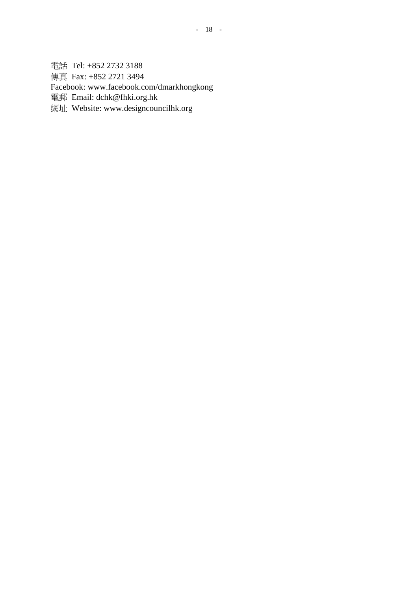電話 Tel: +852 2732 3188 傳真 Fax: +852 2721 3494 Facebook: www.facebook.com/dmarkhongkong 電郵 Email: dchk@fhki.org.hk

網址 Website: [www.designcouncilhk.org](http://www.designcouncilhk.org/)